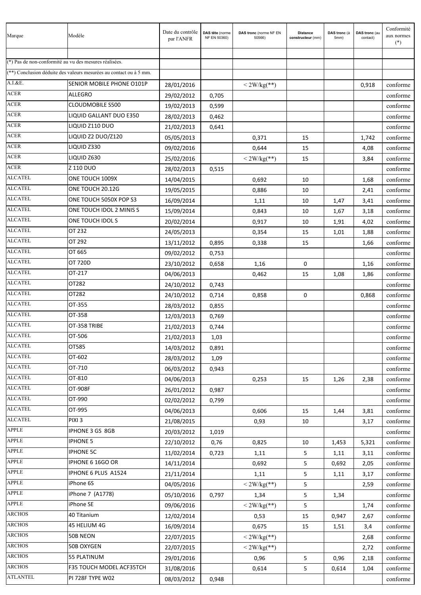| Marque                                                 | Modèle                                                             | Date du contrôle<br>par l'ANFR | DAS tête (norme<br>NF EN 50360) | DAS tronc (norme NF EN<br>50566) | <b>Distance</b><br>constructeur (mm) | DAS tronc (à<br>5mm) | DAS tronc (au<br>contact) | Conformité<br>aux normes<br>$(*)$ |
|--------------------------------------------------------|--------------------------------------------------------------------|--------------------------------|---------------------------------|----------------------------------|--------------------------------------|----------------------|---------------------------|-----------------------------------|
|                                                        |                                                                    |                                |                                 |                                  |                                      |                      |                           |                                   |
| (*) Pas de non-conformité au vu des mesures réalisées. |                                                                    |                                |                                 |                                  |                                      |                      |                           |                                   |
|                                                        | (**) Conclusion déduite des valeurs mesurées au contact ou à 5 mm. |                                |                                 |                                  |                                      |                      |                           |                                   |
| A.I. & E.                                              | SENIOR MOBILE PHONE O101P                                          | 28/01/2016                     |                                 | $<$ 2W/kg(**)                    |                                      |                      | 0,918                     | conforme                          |
| <b>ACER</b>                                            | <b>ALLEGRO</b>                                                     | 29/02/2012                     | 0,705                           |                                  |                                      |                      |                           | conforme                          |
| <b>ACER</b>                                            | <b>CLOUDMOBILE S500</b>                                            | 19/02/2013                     | 0,599                           |                                  |                                      |                      |                           | conforme                          |
| <b>ACER</b>                                            | LIQUID GALLANT DUO E350                                            | 28/02/2013                     | 0,462                           |                                  |                                      |                      |                           | conforme                          |
| <b>ACER</b>                                            | LIQUID Z110 DUO                                                    | 21/02/2013                     | 0,641                           |                                  |                                      |                      |                           | conforme                          |
| <b>ACER</b>                                            | LIQUID Z2 DUO/Z120                                                 | 05/05/2013                     |                                 | 0,371                            | 15                                   |                      | 1,742                     | conforme                          |
| ACER                                                   | LIQUID Z330                                                        | 09/02/2016                     |                                 | 0,644                            | 15                                   |                      | 4,08                      | conforme                          |
| <b>ACER</b>                                            | LIQUID Z630                                                        | 25/02/2016                     |                                 | $<$ 2W/kg(**)                    | 15                                   |                      | 3,84                      | conforme                          |
| <b>ACER</b>                                            | Z 110 DUO                                                          | 28/02/2013                     | 0,515                           |                                  |                                      |                      |                           | conforme                          |
| <b>ALCATEL</b>                                         | ONE TOUCH 1009X                                                    | 14/04/2015                     |                                 | 0,692                            | 10                                   |                      | 1,68                      | conforme                          |
| <b>ALCATEL</b>                                         | ONE TOUCH 20.12G                                                   | 19/05/2015                     |                                 | 0,886                            | 10                                   |                      | 2,41                      | conforme                          |
| <b>ALCATEL</b>                                         | ONE TOUCH 5050X POP S3                                             | 16/09/2014                     |                                 | 1,11                             | 10                                   | 1,47                 | 3,41                      | conforme                          |
| <b>ALCATEL</b>                                         | ONE TOUCH IDOL 2 MINIS S                                           | 15/09/2014                     |                                 | 0,843                            | 10                                   | 1,67                 | 3,18                      | conforme                          |
| <b>ALCATEL</b>                                         | ONE TOUCH IDOLS                                                    | 20/02/2014                     |                                 | 0,917                            | 10                                   | 1,91                 | 4,02                      | conforme                          |
| <b>ALCATEL</b>                                         | OT 232                                                             | 24/05/2013                     |                                 | 0,354                            | 15                                   | 1,01                 | 1,88                      | conforme                          |
| <b>ALCATEL</b>                                         | OT 292                                                             | 13/11/2012                     | 0,895                           | 0,338                            | 15                                   |                      | 1,66                      | conforme                          |
| <b>ALCATEL</b>                                         | OT 665                                                             | 09/02/2012                     | 0,753                           |                                  |                                      |                      |                           | conforme                          |
| <b>ALCATEL</b>                                         | OT 720D                                                            | 23/10/2012                     | 0,658                           | 1,16                             | 0                                    |                      | 1,16                      | conforme                          |
| <b>ALCATEL</b>                                         | OT-217                                                             | 04/06/2013                     |                                 | 0,462                            | 15                                   | 1,08                 | 1,86                      | conforme                          |
| <b>ALCATEL</b>                                         | OT282                                                              | 24/10/2012                     | 0,743                           |                                  |                                      |                      |                           | conforme                          |
| <b>ALCATEL</b>                                         | OT282                                                              | 24/10/2012                     | 0,714                           | 0,858                            | 0                                    |                      | 0,868                     | conforme                          |
| <b>ALCATEL</b>                                         | OT-355                                                             | 28/03/2012                     | 0,855                           |                                  |                                      |                      |                           | conforme                          |
| <b>ALCATEL</b>                                         | OT-358                                                             | 12/03/2013                     | 0,769                           |                                  |                                      |                      |                           | conforme                          |
| <b>ALCATEL</b>                                         | OT-358 TRIBE                                                       | 21/02/2013                     | 0,744                           |                                  |                                      |                      |                           | conforme                          |
| <b>ALCATEL</b>                                         | OT-506                                                             | 21/02/2013                     | 1,03                            |                                  |                                      |                      |                           | conforme                          |
| <b>ALCATEL</b>                                         | OT585                                                              | 14/03/2012                     | 0,891                           |                                  |                                      |                      |                           | conforme                          |
| <b>ALCATEL</b>                                         | OT-602                                                             | 28/03/2012                     | 1,09                            |                                  |                                      |                      |                           | conforme                          |
| <b>ALCATEL</b>                                         | OT-710                                                             | 06/03/2012                     | 0,943                           |                                  |                                      |                      |                           | conforme                          |
| <b>ALCATEL</b>                                         | OT-810                                                             | 04/06/2013                     |                                 | 0,253                            | 15                                   | 1,26                 | 2,38                      | conforme                          |
| <b>ALCATEL</b>                                         | OT-908F                                                            | 26/01/2012                     | 0,987                           |                                  |                                      |                      |                           | conforme                          |
| <b>ALCATEL</b>                                         | OT-990                                                             | 02/02/2012                     | 0,799                           |                                  |                                      |                      |                           | conforme                          |
| <b>ALCATEL</b>                                         | OT-995                                                             | 04/06/2013                     |                                 | 0,606                            | 15                                   | 1,44                 | 3,81                      | conforme                          |
| <b>ALCATEL</b>                                         | PIXI <sub>3</sub>                                                  | 21/08/2015                     |                                 | 0,93                             | 10                                   |                      | 3,17                      | conforme                          |
| <b>APPLE</b>                                           | IPHONE 3 GS 8GB                                                    | 20/03/2012                     | 1,019                           |                                  |                                      |                      |                           | conforme                          |
| <b>APPLE</b>                                           | <b>IPHONE 5</b>                                                    | 22/10/2012                     | 0,76                            | 0,825                            | 10                                   | 1,453                | 5,321                     | conforme                          |
| <b>APPLE</b>                                           | <b>IPHONE 5C</b>                                                   | 11/02/2014                     | 0,723                           | 1,11                             | 5                                    | 1,11                 | 3,11                      | conforme                          |
| <b>APPLE</b>                                           | IPHONE 6 16GO OR                                                   | 14/11/2014                     |                                 | 0,692                            | 5                                    | 0,692                | 2,05                      | conforme                          |
| <b>APPLE</b>                                           | IPHONE 6 PLUS A1524                                                | 21/11/2014                     |                                 | 1,11                             | 5                                    | 1,11                 | 3,17                      | conforme                          |
| <b>APPLE</b>                                           | iPhone 6S                                                          | 04/05/2016                     |                                 | $<$ 2W/kg(**)                    | 5                                    |                      | 2,59                      | conforme                          |
| <b>APPLE</b>                                           | iPhone 7 (A1778)                                                   | 05/10/2016                     | 0,797                           | 1,34                             | 5                                    | 1,34                 |                           | conforme                          |
| <b>APPLE</b>                                           | iPhone SE                                                          | 09/06/2016                     |                                 | $<$ 2W/kg(**)                    | 5                                    |                      | 1,74                      | conforme                          |
| <b>ARCHOS</b>                                          | 40 Titanium                                                        | 12/02/2014                     |                                 | 0,53                             | 15                                   | 0,947                | 2,67                      | conforme                          |
| <b>ARCHOS</b>                                          | 45 HELIUM 4G                                                       | 16/09/2014                     |                                 | 0,675                            | 15                                   | 1,51                 | 3,4                       | conforme                          |
| <b>ARCHOS</b>                                          | 50B NEON                                                           | 22/07/2015                     |                                 | $< 2W/kg$ (**)                   |                                      |                      | 2,68                      | conforme                          |
| <b>ARCHOS</b>                                          | 50B OXYGEN                                                         | 22/07/2015                     |                                 | $<$ 2W/kg(**)                    |                                      |                      | 2,72                      | conforme                          |
| <b>ARCHOS</b>                                          | 55 PLATINUM                                                        | 29/01/2016                     |                                 | 0,96                             | 5                                    | 0,96                 | 2,18                      | conforme                          |
| <b>ARCHOS</b>                                          | F35 TOUCH MODEL ACF35TCH                                           | 31/08/2016                     |                                 | 0,614                            | 5                                    | 0,614                | 1,04                      | conforme                          |
| <b>ATLANTEL</b>                                        | PI 728F TYPE W02                                                   | 08/03/2012                     | 0,948                           |                                  |                                      |                      |                           | conforme                          |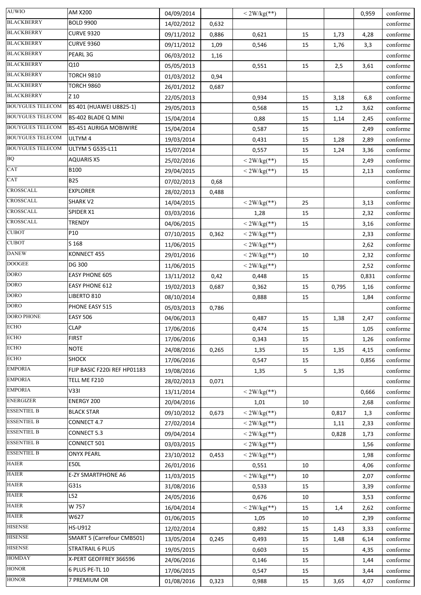| <b>AUWIO</b>            | AM X200                       | 04/09/2014 |       | $<$ 2W/kg(**)  |    |       | 0,959 | conforme |
|-------------------------|-------------------------------|------------|-------|----------------|----|-------|-------|----------|
| <b>BLACKBERRY</b>       | <b>BOLD 9900</b>              | 14/02/2012 | 0,632 |                |    |       |       | conforme |
| <b>BLACKBERRY</b>       | <b>CURVE 9320</b>             | 09/11/2012 | 0,886 | 0,621          | 15 | 1,73  | 4,28  | conforme |
| <b>BLACKBERRY</b>       | <b>CURVE 9360</b>             | 09/11/2012 | 1,09  | 0,546          | 15 | 1,76  | 3,3   | conforme |
| <b>BLACKBERRY</b>       | PEARL 3G                      | 06/03/2012 | 1,16  |                |    |       |       | conforme |
| <b>BLACKBERRY</b>       | Q10                           | 05/05/2013 |       | 0,551          | 15 | 2,5   | 3,61  | conforme |
| <b>BLACKBERRY</b>       | <b>TORCH 9810</b>             | 01/03/2012 | 0,94  |                |    |       |       | conforme |
| <b>BLACKBERRY</b>       | <b>TORCH 9860</b>             | 26/01/2012 | 0,687 |                |    |       |       | conforme |
| <b>BLACKBERRY</b>       | Z 10                          | 22/05/2013 |       | 0,934          | 15 | 3,18  | 6,8   | conforme |
| <b>BOUYGUES TELECOM</b> | BS 401 (HUAWEI U8825-1)       | 29/05/2013 |       | 0,568          | 15 | 1,2   | 3,62  | conforme |
| <b>BOUYGUES TELECOM</b> | BS-402 BLADE Q MINI           | 15/04/2014 |       | 0,88           | 15 | 1,14  | 2,45  | conforme |
| <b>BOUYGUES TELECOM</b> | <b>BS-451 AURIGA MOBIWIRE</b> | 15/04/2014 |       | 0,587          | 15 |       | 2,49  | conforme |
| <b>BOUYGUES TELECOM</b> | ULTYM 4                       | 19/03/2014 |       | 0,431          | 15 | 1,28  | 2,89  | conforme |
| <b>BOUYGUES TELECOM</b> | ULTYM 5 G535-L11              | 15/07/2014 |       | 0,557          | 15 | 1,24  | 3,36  | conforme |
| $\rm{BQ}$               | <b>AQUARIS X5</b>             | 25/02/2016 |       | $<$ 2W/kg(**)  | 15 |       | 2,49  | conforme |
| CAT                     | <b>B100</b>                   | 29/04/2015 |       | $<$ 2W/kg(**)  | 15 |       | 2,13  | conforme |
| CAT                     | <b>B25</b>                    | 07/02/2013 | 0,68  |                |    |       |       | conforme |
| CROSSCALL               | <b>EXPLORER</b>               | 28/02/2013 | 0,488 |                |    |       |       | conforme |
| <b>CROSSCALL</b>        | SHARK V2                      | 14/04/2015 |       | $<$ 2W/kg(**)  | 25 |       | 3,13  | conforme |
| CROSSCALL               | SPIDER X1                     | 03/03/2016 |       | 1,28           | 15 |       | 2,32  | conforme |
| CROSSCALL               | <b>TRENDY</b>                 | 04/06/2015 |       | $<$ 2W/kg(**)  | 15 |       | 3,16  | conforme |
| <b>CUBOT</b>            | P10                           | 07/10/2015 | 0,362 | $<$ 2W/kg(**)  |    |       | 2,33  | conforme |
| <b>CUBOT</b>            | S 168                         | 11/06/2015 |       | $<$ 2W/kg(**)  |    |       | 2,62  | conforme |
| <b>DANEW</b>            | KONNECT 455                   | 29/01/2016 |       | $<$ 2W/kg(**)  | 10 |       | 2,32  | conforme |
| <b>DOOGEE</b>           | DG 300                        | 11/06/2015 |       | $<$ 2W/kg(**)  |    |       | 2,52  | conforme |
| <b>DORO</b>             | <b>EASY PHONE 605</b>         | 13/11/2012 | 0,42  | 0,448          | 15 |       | 0,831 | conforme |
| <b>DORO</b>             | <b>EASY PHONE 612</b>         | 19/02/2013 | 0,687 | 0,362          | 15 | 0,795 | 1,16  | conforme |
| <b>DORO</b>             | LIBERTO 810                   | 08/10/2014 |       | 0,888          | 15 |       | 1,84  | conforme |
| <b>DORO</b>             | PHONE EASY 515                | 05/03/2013 | 0,786 |                |    |       |       | conforme |
| <b>DORO PHONE</b>       | <b>EASY 506</b>               | 04/06/2013 |       | 0,487          | 15 | 1,38  | 2,47  | conforme |
| <b>ECHO</b>             | <b>CLAP</b>                   | 17/06/2016 |       | 0,474          | 15 |       | 1,05  | conforme |
| <b>ECHO</b>             | <b>FIRST</b>                  | 17/06/2016 |       | 0,343          | 15 |       | 1,26  | conforme |
| <b>ECHO</b>             | <b>NOTE</b>                   | 24/08/2016 | 0,265 | 1,35           | 15 | 1,35  | 4,15  | conforme |
| <b>ECHO</b>             | <b>SHOCK</b>                  | 17/06/2016 |       | 0,547          | 15 |       | 0,856 | conforme |
| <b>EMPORIA</b>          | FLIP BASIC F220i REF HP01183  | 19/08/2016 |       | 1,35           | 5  | 1,35  |       | conforme |
| <b>EMPORIA</b>          | TELL ME F210                  | 28/02/2013 | 0,071 |                |    |       |       | conforme |
| <b>EMPORIA</b>          | V331                          | 13/11/2014 |       | $<$ 2W/kg(**)  |    |       | 0,666 | conforme |
| <b>ENERGIZER</b>        | ENERGY 200                    | 20/04/2016 |       | 1,01           | 10 |       | 2,68  | conforme |
| <b>ESSENTIEL B</b>      | <b>BLACK STAR</b>             | 09/10/2012 | 0,673 | $< 2W/kg$ (**) |    | 0,817 | 1,3   | conforme |
| <b>ESSENTIEL B</b>      | CONNECT 4.7                   | 27/02/2014 |       | $<$ 2W/kg(**)  |    | 1,11  | 2,33  | conforme |
| <b>ESSENTIEL B</b>      | CONNECT 5.3                   | 09/04/2014 |       | $<$ 2W/kg(**)  |    | 0,828 | 1,73  | conforme |
| <b>ESSENTIEL B</b>      | CONNECT 501                   | 03/03/2015 |       | $<$ 2W/kg(**)  |    |       | 1,56  | conforme |
| <b>ESSENTIEL B</b>      | <b>ONYX PEARL</b>             | 23/10/2012 | 0,453 | $< 2W/kg$ (**) |    |       | 1,98  | conforme |
| <b>HAIER</b>            | <b>E50L</b>                   | 26/01/2016 |       | 0,551          | 10 |       | 4,06  | conforme |
| <b>HAIER</b>            | E-ZY SMARTPHONE A6            | 11/03/2015 |       | $<$ 2W/kg(**)  | 10 |       | 2,07  | conforme |
| <b>HAIER</b>            | G31s                          | 31/08/2016 |       | 0,533          | 15 |       | 3,39  | conforme |
| <b>HAIER</b>            | L52                           | 24/05/2016 |       | 0,676          | 10 |       | 3,53  | conforme |
| <b>HAIER</b>            | W 757                         | 16/04/2014 |       | $<$ 2W/kg(**)  | 15 | 1,4   | 2,62  | conforme |
| <b>HAIER</b>            | W627                          | 01/06/2015 |       | 1,05           | 10 |       | 2,39  | conforme |
| <b>HISENSE</b>          | HS-U912                       | 12/02/2014 |       | 0,892          | 15 | 1,43  | 3,33  | conforme |
| <b>HISENSE</b>          | SMART 5 (Carrefour CMB501)    | 13/05/2014 | 0,245 | 0,493          | 15 | 1,48  | 6,14  | conforme |
| <b>HISENSE</b>          | STRATRAIL 6 PLUS              | 19/05/2015 |       | 0,603          | 15 |       | 4,35  | conforme |
| <b>HOMDAY</b>           | X-PERT GEOFFREY 366596        | 24/06/2016 |       | 0,146          | 15 |       | 1,44  | conforme |
| <b>HONOR</b>            | 6 PLUS PE-TL 10               | 17/06/2015 |       | 0,547          | 15 |       | 3,44  | conforme |
| <b>HONOR</b>            | 7 PREMIUM OR                  | 01/08/2016 | 0,323 | 0,988          | 15 | 3,65  | 4,07  | conforme |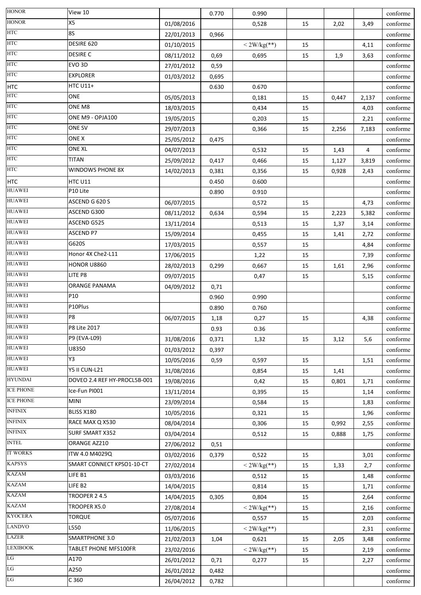| X5<br>conforme<br>0,528<br>01/08/2016<br>15<br>2,02<br>3,49<br><b>8S</b><br>conforme<br>22/01/2013<br>0,966<br>DESIRE 620<br>$<$ 2W/kg(**)<br>conforme<br>01/10/2015<br>15<br>4,11<br><b>DESIRE C</b><br>08/11/2012<br>0,69<br>0,695<br>15<br>1,9<br>conforme<br>3,63<br>EVO <sub>3D</sub><br>conforme<br>27/01/2012<br>0,59<br><b>EXPLORER</b><br>conforme<br>0,695<br>01/03/2012<br><b>HTC U11+</b><br>conforme<br>0.630<br>0.670<br>ONE<br>05/05/2013<br>0,181<br>15<br>0,447<br>conforme<br>2,137<br>ONE M8<br>conforme<br>18/03/2015<br>0,434<br>15<br>4,03<br>ONE M9 - OPJA100<br>19/05/2015<br>0,203<br>15<br>conforme<br>2,21<br>ONE SV<br>29/07/2013<br>15<br>conforme<br>0,366<br>2,256<br>7,183<br>ONE X<br>0,475<br>conforme<br>25/05/2012<br>ONE XL<br>04/07/2013<br>0,532<br>4<br>conforme<br>15<br>1,43<br><b>TITAN</b><br>25/09/2012<br>0,417<br>0,466<br>15<br>conforme<br>1,127<br>3,819<br><b>WINDOWS PHONE 8X</b><br>conforme<br>14/02/2013<br>0,381<br>0,356<br>15<br>0,928<br>2,43<br>HTC U11<br>0.450<br>0.600<br>conforme<br><b>HUAWEI</b><br>P10 Lite<br>0.890<br>0.910<br>conforme<br>ASCEND G 620 S<br>06/07/2015<br>0,572<br>15<br>conforme<br>4,73<br>ASCEND G300<br>conforme<br>08/11/2012<br>0,634<br>0,594<br>15<br>2,223<br>5,382<br>ASCEND G525<br>13/11/2014<br>0,513<br>15<br>conforme<br>1,37<br>3,14<br><b>ASCEND P7</b><br>15/09/2014<br>conforme<br>0,455<br>15<br>2,72<br>1,41<br>G620S<br>conforme<br>17/03/2015<br>0,557<br>15<br>4,84<br>Honor 4X Che2-L11<br>17/06/2015<br>15<br>conforme<br>1,22<br>7,39<br>HONOR U8860<br>28/02/2013<br>0,299<br>0,667<br>15<br>conforme<br>1,61<br>2,96<br>LITE P8<br>09/07/2015<br>15<br>conforme<br>0,47<br>5,15<br>ORANGE PANAMA<br>conforme<br>04/09/2012<br>0,71<br>P10<br>0.960<br>0.990<br>conforme<br>P10Plus<br>conforme<br>0.890<br>0.760<br>P8<br>06/07/2015<br>0,27<br>15<br>4,38<br>conforme<br>1,18<br>P8 Lite 2017<br>0.93<br>0.36<br>conforme<br>P9 (EVA-L09)<br>31/08/2016<br>0,371<br>5,6<br>conforme<br>1,32<br>15<br>3,12<br>U8350<br>conforme<br>01/03/2012<br>0,397<br>Y3<br>conforme<br>10/05/2016<br>0,59<br>0,597<br>15<br>1,51<br>Y5 II CUN-L21<br>conforme<br>31/08/2016<br>0,854<br>15<br>1,41<br>DOVEO 2.4 REF HY-PROCL5B-001<br>conforme<br>19/08/2016<br>0,42<br>15<br>0,801<br>1,71<br>Ice-Fun PI001<br>conforme<br>13/11/2014<br>0,395<br>15<br>1,14<br>MINI<br>23/09/2014<br>0,584<br>15<br>conforme<br>1,83<br>BLISS X180<br>10/05/2016<br>0,321<br>15<br>conforme<br>1,96<br>RACE MAX Q X530<br>08/04/2014<br>0,306<br>15<br>0,992<br>2,55<br>conforme<br>SURF SMART X352<br>conforme<br>03/04/2014<br>0,512<br>15<br>0,888<br>1,75<br>ORANGE AZ210<br>conforme<br>27/06/2012<br>0,51<br>ITW 4.0 M4029Q<br>conforme<br>03/02/2016<br>0,379<br>0,522<br>15<br>3,01<br>SMART CONNECT KPSO1-10-CT<br>$<$ 2W/kg(**)<br>27/02/2014<br>15<br>1,33<br>2,7<br>conforme<br>LIFE B1<br>03/03/2016<br>conforme<br>0,512<br>15<br>1,48<br>LIFE B2<br>conforme<br>14/04/2015<br>0,814<br>15<br>1,71<br>TROOPER 24.5<br>14/04/2015<br>0,804<br>conforme<br>0,305<br>15<br>2,64<br>TROOPER X5.0<br>$< 2W/kg$ (**)<br>15<br>conforme<br>27/08/2014<br>2,16<br><b>TORQUE</b><br>05/07/2016<br>0,557<br>15<br>2,03<br>conforme<br>L550<br>$< 2W/kg$ (**)<br>conforme<br>11/06/2015<br>2,31<br><b>SMARTPHONE 3.0</b><br>21/02/2013<br>0,621<br>15<br>conforme<br>1,04<br>2,05<br>3,48<br>TABLET PHONE MFS100FR<br>$<$ 2W/kg(**)<br>15<br>conforme<br>23/02/2016<br>2,19<br>A170<br>26/01/2012<br>0,71<br>15<br>conforme<br>0,277<br>2,27<br>A250<br>conforme<br>26/01/2012<br>0,482<br>C 360<br>26/04/2012<br>0,782<br>conforme | <b>HONOR</b>     | View 10 | 0.770 | 0.990 |  | conforme |
|----------------------------------------------------------------------------------------------------------------------------------------------------------------------------------------------------------------------------------------------------------------------------------------------------------------------------------------------------------------------------------------------------------------------------------------------------------------------------------------------------------------------------------------------------------------------------------------------------------------------------------------------------------------------------------------------------------------------------------------------------------------------------------------------------------------------------------------------------------------------------------------------------------------------------------------------------------------------------------------------------------------------------------------------------------------------------------------------------------------------------------------------------------------------------------------------------------------------------------------------------------------------------------------------------------------------------------------------------------------------------------------------------------------------------------------------------------------------------------------------------------------------------------------------------------------------------------------------------------------------------------------------------------------------------------------------------------------------------------------------------------------------------------------------------------------------------------------------------------------------------------------------------------------------------------------------------------------------------------------------------------------------------------------------------------------------------------------------------------------------------------------------------------------------------------------------------------------------------------------------------------------------------------------------------------------------------------------------------------------------------------------------------------------------------------------------------------------------------------------------------------------------------------------------------------------------------------------------------------------------------------------------------------------------------------------------------------------------------------------------------------------------------------------------------------------------------------------------------------------------------------------------------------------------------------------------------------------------------------------------------------------------------------------------------------------------------------------------------------------------------------------------------------------------------------------------------------------------------------------------------------------------------------------------------------------------------------------------------------------------------------------------------------------------------------------------------------------------------------------------------------------------------------------------------------------------------------------------------------------------------------|------------------|---------|-------|-------|--|----------|
|                                                                                                                                                                                                                                                                                                                                                                                                                                                                                                                                                                                                                                                                                                                                                                                                                                                                                                                                                                                                                                                                                                                                                                                                                                                                                                                                                                                                                                                                                                                                                                                                                                                                                                                                                                                                                                                                                                                                                                                                                                                                                                                                                                                                                                                                                                                                                                                                                                                                                                                                                                                                                                                                                                                                                                                                                                                                                                                                                                                                                                                                                                                                                                                                                                                                                                                                                                                                                                                                                                                                                                                                                                  | <b>HONOR</b>     |         |       |       |  |          |
|                                                                                                                                                                                                                                                                                                                                                                                                                                                                                                                                                                                                                                                                                                                                                                                                                                                                                                                                                                                                                                                                                                                                                                                                                                                                                                                                                                                                                                                                                                                                                                                                                                                                                                                                                                                                                                                                                                                                                                                                                                                                                                                                                                                                                                                                                                                                                                                                                                                                                                                                                                                                                                                                                                                                                                                                                                                                                                                                                                                                                                                                                                                                                                                                                                                                                                                                                                                                                                                                                                                                                                                                                                  | <b>HTC</b>       |         |       |       |  |          |
|                                                                                                                                                                                                                                                                                                                                                                                                                                                                                                                                                                                                                                                                                                                                                                                                                                                                                                                                                                                                                                                                                                                                                                                                                                                                                                                                                                                                                                                                                                                                                                                                                                                                                                                                                                                                                                                                                                                                                                                                                                                                                                                                                                                                                                                                                                                                                                                                                                                                                                                                                                                                                                                                                                                                                                                                                                                                                                                                                                                                                                                                                                                                                                                                                                                                                                                                                                                                                                                                                                                                                                                                                                  | <b>HTC</b>       |         |       |       |  |          |
|                                                                                                                                                                                                                                                                                                                                                                                                                                                                                                                                                                                                                                                                                                                                                                                                                                                                                                                                                                                                                                                                                                                                                                                                                                                                                                                                                                                                                                                                                                                                                                                                                                                                                                                                                                                                                                                                                                                                                                                                                                                                                                                                                                                                                                                                                                                                                                                                                                                                                                                                                                                                                                                                                                                                                                                                                                                                                                                                                                                                                                                                                                                                                                                                                                                                                                                                                                                                                                                                                                                                                                                                                                  | <b>HTC</b>       |         |       |       |  |          |
|                                                                                                                                                                                                                                                                                                                                                                                                                                                                                                                                                                                                                                                                                                                                                                                                                                                                                                                                                                                                                                                                                                                                                                                                                                                                                                                                                                                                                                                                                                                                                                                                                                                                                                                                                                                                                                                                                                                                                                                                                                                                                                                                                                                                                                                                                                                                                                                                                                                                                                                                                                                                                                                                                                                                                                                                                                                                                                                                                                                                                                                                                                                                                                                                                                                                                                                                                                                                                                                                                                                                                                                                                                  | <b>HTC</b>       |         |       |       |  |          |
|                                                                                                                                                                                                                                                                                                                                                                                                                                                                                                                                                                                                                                                                                                                                                                                                                                                                                                                                                                                                                                                                                                                                                                                                                                                                                                                                                                                                                                                                                                                                                                                                                                                                                                                                                                                                                                                                                                                                                                                                                                                                                                                                                                                                                                                                                                                                                                                                                                                                                                                                                                                                                                                                                                                                                                                                                                                                                                                                                                                                                                                                                                                                                                                                                                                                                                                                                                                                                                                                                                                                                                                                                                  | <b>HTC</b>       |         |       |       |  |          |
|                                                                                                                                                                                                                                                                                                                                                                                                                                                                                                                                                                                                                                                                                                                                                                                                                                                                                                                                                                                                                                                                                                                                                                                                                                                                                                                                                                                                                                                                                                                                                                                                                                                                                                                                                                                                                                                                                                                                                                                                                                                                                                                                                                                                                                                                                                                                                                                                                                                                                                                                                                                                                                                                                                                                                                                                                                                                                                                                                                                                                                                                                                                                                                                                                                                                                                                                                                                                                                                                                                                                                                                                                                  | <b>HTC</b>       |         |       |       |  |          |
|                                                                                                                                                                                                                                                                                                                                                                                                                                                                                                                                                                                                                                                                                                                                                                                                                                                                                                                                                                                                                                                                                                                                                                                                                                                                                                                                                                                                                                                                                                                                                                                                                                                                                                                                                                                                                                                                                                                                                                                                                                                                                                                                                                                                                                                                                                                                                                                                                                                                                                                                                                                                                                                                                                                                                                                                                                                                                                                                                                                                                                                                                                                                                                                                                                                                                                                                                                                                                                                                                                                                                                                                                                  | <b>HTC</b>       |         |       |       |  |          |
|                                                                                                                                                                                                                                                                                                                                                                                                                                                                                                                                                                                                                                                                                                                                                                                                                                                                                                                                                                                                                                                                                                                                                                                                                                                                                                                                                                                                                                                                                                                                                                                                                                                                                                                                                                                                                                                                                                                                                                                                                                                                                                                                                                                                                                                                                                                                                                                                                                                                                                                                                                                                                                                                                                                                                                                                                                                                                                                                                                                                                                                                                                                                                                                                                                                                                                                                                                                                                                                                                                                                                                                                                                  | <b>HTC</b>       |         |       |       |  |          |
|                                                                                                                                                                                                                                                                                                                                                                                                                                                                                                                                                                                                                                                                                                                                                                                                                                                                                                                                                                                                                                                                                                                                                                                                                                                                                                                                                                                                                                                                                                                                                                                                                                                                                                                                                                                                                                                                                                                                                                                                                                                                                                                                                                                                                                                                                                                                                                                                                                                                                                                                                                                                                                                                                                                                                                                                                                                                                                                                                                                                                                                                                                                                                                                                                                                                                                                                                                                                                                                                                                                                                                                                                                  | <b>HTC</b>       |         |       |       |  |          |
|                                                                                                                                                                                                                                                                                                                                                                                                                                                                                                                                                                                                                                                                                                                                                                                                                                                                                                                                                                                                                                                                                                                                                                                                                                                                                                                                                                                                                                                                                                                                                                                                                                                                                                                                                                                                                                                                                                                                                                                                                                                                                                                                                                                                                                                                                                                                                                                                                                                                                                                                                                                                                                                                                                                                                                                                                                                                                                                                                                                                                                                                                                                                                                                                                                                                                                                                                                                                                                                                                                                                                                                                                                  | <b>HTC</b>       |         |       |       |  |          |
|                                                                                                                                                                                                                                                                                                                                                                                                                                                                                                                                                                                                                                                                                                                                                                                                                                                                                                                                                                                                                                                                                                                                                                                                                                                                                                                                                                                                                                                                                                                                                                                                                                                                                                                                                                                                                                                                                                                                                                                                                                                                                                                                                                                                                                                                                                                                                                                                                                                                                                                                                                                                                                                                                                                                                                                                                                                                                                                                                                                                                                                                                                                                                                                                                                                                                                                                                                                                                                                                                                                                                                                                                                  | <b>HTC</b>       |         |       |       |  |          |
|                                                                                                                                                                                                                                                                                                                                                                                                                                                                                                                                                                                                                                                                                                                                                                                                                                                                                                                                                                                                                                                                                                                                                                                                                                                                                                                                                                                                                                                                                                                                                                                                                                                                                                                                                                                                                                                                                                                                                                                                                                                                                                                                                                                                                                                                                                                                                                                                                                                                                                                                                                                                                                                                                                                                                                                                                                                                                                                                                                                                                                                                                                                                                                                                                                                                                                                                                                                                                                                                                                                                                                                                                                  | <b>HTC</b>       |         |       |       |  |          |
|                                                                                                                                                                                                                                                                                                                                                                                                                                                                                                                                                                                                                                                                                                                                                                                                                                                                                                                                                                                                                                                                                                                                                                                                                                                                                                                                                                                                                                                                                                                                                                                                                                                                                                                                                                                                                                                                                                                                                                                                                                                                                                                                                                                                                                                                                                                                                                                                                                                                                                                                                                                                                                                                                                                                                                                                                                                                                                                                                                                                                                                                                                                                                                                                                                                                                                                                                                                                                                                                                                                                                                                                                                  | <b>HTC</b>       |         |       |       |  |          |
|                                                                                                                                                                                                                                                                                                                                                                                                                                                                                                                                                                                                                                                                                                                                                                                                                                                                                                                                                                                                                                                                                                                                                                                                                                                                                                                                                                                                                                                                                                                                                                                                                                                                                                                                                                                                                                                                                                                                                                                                                                                                                                                                                                                                                                                                                                                                                                                                                                                                                                                                                                                                                                                                                                                                                                                                                                                                                                                                                                                                                                                                                                                                                                                                                                                                                                                                                                                                                                                                                                                                                                                                                                  | <b>HTC</b>       |         |       |       |  |          |
|                                                                                                                                                                                                                                                                                                                                                                                                                                                                                                                                                                                                                                                                                                                                                                                                                                                                                                                                                                                                                                                                                                                                                                                                                                                                                                                                                                                                                                                                                                                                                                                                                                                                                                                                                                                                                                                                                                                                                                                                                                                                                                                                                                                                                                                                                                                                                                                                                                                                                                                                                                                                                                                                                                                                                                                                                                                                                                                                                                                                                                                                                                                                                                                                                                                                                                                                                                                                                                                                                                                                                                                                                                  | <b>HTC</b>       |         |       |       |  |          |
|                                                                                                                                                                                                                                                                                                                                                                                                                                                                                                                                                                                                                                                                                                                                                                                                                                                                                                                                                                                                                                                                                                                                                                                                                                                                                                                                                                                                                                                                                                                                                                                                                                                                                                                                                                                                                                                                                                                                                                                                                                                                                                                                                                                                                                                                                                                                                                                                                                                                                                                                                                                                                                                                                                                                                                                                                                                                                                                                                                                                                                                                                                                                                                                                                                                                                                                                                                                                                                                                                                                                                                                                                                  |                  |         |       |       |  |          |
|                                                                                                                                                                                                                                                                                                                                                                                                                                                                                                                                                                                                                                                                                                                                                                                                                                                                                                                                                                                                                                                                                                                                                                                                                                                                                                                                                                                                                                                                                                                                                                                                                                                                                                                                                                                                                                                                                                                                                                                                                                                                                                                                                                                                                                                                                                                                                                                                                                                                                                                                                                                                                                                                                                                                                                                                                                                                                                                                                                                                                                                                                                                                                                                                                                                                                                                                                                                                                                                                                                                                                                                                                                  | <b>HUAWEI</b>    |         |       |       |  |          |
|                                                                                                                                                                                                                                                                                                                                                                                                                                                                                                                                                                                                                                                                                                                                                                                                                                                                                                                                                                                                                                                                                                                                                                                                                                                                                                                                                                                                                                                                                                                                                                                                                                                                                                                                                                                                                                                                                                                                                                                                                                                                                                                                                                                                                                                                                                                                                                                                                                                                                                                                                                                                                                                                                                                                                                                                                                                                                                                                                                                                                                                                                                                                                                                                                                                                                                                                                                                                                                                                                                                                                                                                                                  | <b>HUAWEI</b>    |         |       |       |  |          |
|                                                                                                                                                                                                                                                                                                                                                                                                                                                                                                                                                                                                                                                                                                                                                                                                                                                                                                                                                                                                                                                                                                                                                                                                                                                                                                                                                                                                                                                                                                                                                                                                                                                                                                                                                                                                                                                                                                                                                                                                                                                                                                                                                                                                                                                                                                                                                                                                                                                                                                                                                                                                                                                                                                                                                                                                                                                                                                                                                                                                                                                                                                                                                                                                                                                                                                                                                                                                                                                                                                                                                                                                                                  | <b>HUAWEI</b>    |         |       |       |  |          |
|                                                                                                                                                                                                                                                                                                                                                                                                                                                                                                                                                                                                                                                                                                                                                                                                                                                                                                                                                                                                                                                                                                                                                                                                                                                                                                                                                                                                                                                                                                                                                                                                                                                                                                                                                                                                                                                                                                                                                                                                                                                                                                                                                                                                                                                                                                                                                                                                                                                                                                                                                                                                                                                                                                                                                                                                                                                                                                                                                                                                                                                                                                                                                                                                                                                                                                                                                                                                                                                                                                                                                                                                                                  | <b>HUAWEI</b>    |         |       |       |  |          |
|                                                                                                                                                                                                                                                                                                                                                                                                                                                                                                                                                                                                                                                                                                                                                                                                                                                                                                                                                                                                                                                                                                                                                                                                                                                                                                                                                                                                                                                                                                                                                                                                                                                                                                                                                                                                                                                                                                                                                                                                                                                                                                                                                                                                                                                                                                                                                                                                                                                                                                                                                                                                                                                                                                                                                                                                                                                                                                                                                                                                                                                                                                                                                                                                                                                                                                                                                                                                                                                                                                                                                                                                                                  | <b>HUAWEI</b>    |         |       |       |  |          |
|                                                                                                                                                                                                                                                                                                                                                                                                                                                                                                                                                                                                                                                                                                                                                                                                                                                                                                                                                                                                                                                                                                                                                                                                                                                                                                                                                                                                                                                                                                                                                                                                                                                                                                                                                                                                                                                                                                                                                                                                                                                                                                                                                                                                                                                                                                                                                                                                                                                                                                                                                                                                                                                                                                                                                                                                                                                                                                                                                                                                                                                                                                                                                                                                                                                                                                                                                                                                                                                                                                                                                                                                                                  | <b>HUAWEI</b>    |         |       |       |  |          |
|                                                                                                                                                                                                                                                                                                                                                                                                                                                                                                                                                                                                                                                                                                                                                                                                                                                                                                                                                                                                                                                                                                                                                                                                                                                                                                                                                                                                                                                                                                                                                                                                                                                                                                                                                                                                                                                                                                                                                                                                                                                                                                                                                                                                                                                                                                                                                                                                                                                                                                                                                                                                                                                                                                                                                                                                                                                                                                                                                                                                                                                                                                                                                                                                                                                                                                                                                                                                                                                                                                                                                                                                                                  | <b>HUAWEI</b>    |         |       |       |  |          |
|                                                                                                                                                                                                                                                                                                                                                                                                                                                                                                                                                                                                                                                                                                                                                                                                                                                                                                                                                                                                                                                                                                                                                                                                                                                                                                                                                                                                                                                                                                                                                                                                                                                                                                                                                                                                                                                                                                                                                                                                                                                                                                                                                                                                                                                                                                                                                                                                                                                                                                                                                                                                                                                                                                                                                                                                                                                                                                                                                                                                                                                                                                                                                                                                                                                                                                                                                                                                                                                                                                                                                                                                                                  | <b>HUAWEI</b>    |         |       |       |  |          |
|                                                                                                                                                                                                                                                                                                                                                                                                                                                                                                                                                                                                                                                                                                                                                                                                                                                                                                                                                                                                                                                                                                                                                                                                                                                                                                                                                                                                                                                                                                                                                                                                                                                                                                                                                                                                                                                                                                                                                                                                                                                                                                                                                                                                                                                                                                                                                                                                                                                                                                                                                                                                                                                                                                                                                                                                                                                                                                                                                                                                                                                                                                                                                                                                                                                                                                                                                                                                                                                                                                                                                                                                                                  | <b>HUAWEI</b>    |         |       |       |  |          |
|                                                                                                                                                                                                                                                                                                                                                                                                                                                                                                                                                                                                                                                                                                                                                                                                                                                                                                                                                                                                                                                                                                                                                                                                                                                                                                                                                                                                                                                                                                                                                                                                                                                                                                                                                                                                                                                                                                                                                                                                                                                                                                                                                                                                                                                                                                                                                                                                                                                                                                                                                                                                                                                                                                                                                                                                                                                                                                                                                                                                                                                                                                                                                                                                                                                                                                                                                                                                                                                                                                                                                                                                                                  | <b>HUAWEI</b>    |         |       |       |  |          |
|                                                                                                                                                                                                                                                                                                                                                                                                                                                                                                                                                                                                                                                                                                                                                                                                                                                                                                                                                                                                                                                                                                                                                                                                                                                                                                                                                                                                                                                                                                                                                                                                                                                                                                                                                                                                                                                                                                                                                                                                                                                                                                                                                                                                                                                                                                                                                                                                                                                                                                                                                                                                                                                                                                                                                                                                                                                                                                                                                                                                                                                                                                                                                                                                                                                                                                                                                                                                                                                                                                                                                                                                                                  | <b>HUAWEI</b>    |         |       |       |  |          |
|                                                                                                                                                                                                                                                                                                                                                                                                                                                                                                                                                                                                                                                                                                                                                                                                                                                                                                                                                                                                                                                                                                                                                                                                                                                                                                                                                                                                                                                                                                                                                                                                                                                                                                                                                                                                                                                                                                                                                                                                                                                                                                                                                                                                                                                                                                                                                                                                                                                                                                                                                                                                                                                                                                                                                                                                                                                                                                                                                                                                                                                                                                                                                                                                                                                                                                                                                                                                                                                                                                                                                                                                                                  | <b>HUAWEI</b>    |         |       |       |  |          |
|                                                                                                                                                                                                                                                                                                                                                                                                                                                                                                                                                                                                                                                                                                                                                                                                                                                                                                                                                                                                                                                                                                                                                                                                                                                                                                                                                                                                                                                                                                                                                                                                                                                                                                                                                                                                                                                                                                                                                                                                                                                                                                                                                                                                                                                                                                                                                                                                                                                                                                                                                                                                                                                                                                                                                                                                                                                                                                                                                                                                                                                                                                                                                                                                                                                                                                                                                                                                                                                                                                                                                                                                                                  | <b>HUAWEI</b>    |         |       |       |  |          |
|                                                                                                                                                                                                                                                                                                                                                                                                                                                                                                                                                                                                                                                                                                                                                                                                                                                                                                                                                                                                                                                                                                                                                                                                                                                                                                                                                                                                                                                                                                                                                                                                                                                                                                                                                                                                                                                                                                                                                                                                                                                                                                                                                                                                                                                                                                                                                                                                                                                                                                                                                                                                                                                                                                                                                                                                                                                                                                                                                                                                                                                                                                                                                                                                                                                                                                                                                                                                                                                                                                                                                                                                                                  | <b>HUAWEI</b>    |         |       |       |  |          |
|                                                                                                                                                                                                                                                                                                                                                                                                                                                                                                                                                                                                                                                                                                                                                                                                                                                                                                                                                                                                                                                                                                                                                                                                                                                                                                                                                                                                                                                                                                                                                                                                                                                                                                                                                                                                                                                                                                                                                                                                                                                                                                                                                                                                                                                                                                                                                                                                                                                                                                                                                                                                                                                                                                                                                                                                                                                                                                                                                                                                                                                                                                                                                                                                                                                                                                                                                                                                                                                                                                                                                                                                                                  | <b>HUAWEI</b>    |         |       |       |  |          |
|                                                                                                                                                                                                                                                                                                                                                                                                                                                                                                                                                                                                                                                                                                                                                                                                                                                                                                                                                                                                                                                                                                                                                                                                                                                                                                                                                                                                                                                                                                                                                                                                                                                                                                                                                                                                                                                                                                                                                                                                                                                                                                                                                                                                                                                                                                                                                                                                                                                                                                                                                                                                                                                                                                                                                                                                                                                                                                                                                                                                                                                                                                                                                                                                                                                                                                                                                                                                                                                                                                                                                                                                                                  | <b>HUAWEI</b>    |         |       |       |  |          |
|                                                                                                                                                                                                                                                                                                                                                                                                                                                                                                                                                                                                                                                                                                                                                                                                                                                                                                                                                                                                                                                                                                                                                                                                                                                                                                                                                                                                                                                                                                                                                                                                                                                                                                                                                                                                                                                                                                                                                                                                                                                                                                                                                                                                                                                                                                                                                                                                                                                                                                                                                                                                                                                                                                                                                                                                                                                                                                                                                                                                                                                                                                                                                                                                                                                                                                                                                                                                                                                                                                                                                                                                                                  | <b>HUAWEI</b>    |         |       |       |  |          |
|                                                                                                                                                                                                                                                                                                                                                                                                                                                                                                                                                                                                                                                                                                                                                                                                                                                                                                                                                                                                                                                                                                                                                                                                                                                                                                                                                                                                                                                                                                                                                                                                                                                                                                                                                                                                                                                                                                                                                                                                                                                                                                                                                                                                                                                                                                                                                                                                                                                                                                                                                                                                                                                                                                                                                                                                                                                                                                                                                                                                                                                                                                                                                                                                                                                                                                                                                                                                                                                                                                                                                                                                                                  | <b>HYUNDAI</b>   |         |       |       |  |          |
|                                                                                                                                                                                                                                                                                                                                                                                                                                                                                                                                                                                                                                                                                                                                                                                                                                                                                                                                                                                                                                                                                                                                                                                                                                                                                                                                                                                                                                                                                                                                                                                                                                                                                                                                                                                                                                                                                                                                                                                                                                                                                                                                                                                                                                                                                                                                                                                                                                                                                                                                                                                                                                                                                                                                                                                                                                                                                                                                                                                                                                                                                                                                                                                                                                                                                                                                                                                                                                                                                                                                                                                                                                  | <b>ICE PHONE</b> |         |       |       |  |          |
|                                                                                                                                                                                                                                                                                                                                                                                                                                                                                                                                                                                                                                                                                                                                                                                                                                                                                                                                                                                                                                                                                                                                                                                                                                                                                                                                                                                                                                                                                                                                                                                                                                                                                                                                                                                                                                                                                                                                                                                                                                                                                                                                                                                                                                                                                                                                                                                                                                                                                                                                                                                                                                                                                                                                                                                                                                                                                                                                                                                                                                                                                                                                                                                                                                                                                                                                                                                                                                                                                                                                                                                                                                  | <b>ICE PHONE</b> |         |       |       |  |          |
|                                                                                                                                                                                                                                                                                                                                                                                                                                                                                                                                                                                                                                                                                                                                                                                                                                                                                                                                                                                                                                                                                                                                                                                                                                                                                                                                                                                                                                                                                                                                                                                                                                                                                                                                                                                                                                                                                                                                                                                                                                                                                                                                                                                                                                                                                                                                                                                                                                                                                                                                                                                                                                                                                                                                                                                                                                                                                                                                                                                                                                                                                                                                                                                                                                                                                                                                                                                                                                                                                                                                                                                                                                  | <b>INFINIX</b>   |         |       |       |  |          |
|                                                                                                                                                                                                                                                                                                                                                                                                                                                                                                                                                                                                                                                                                                                                                                                                                                                                                                                                                                                                                                                                                                                                                                                                                                                                                                                                                                                                                                                                                                                                                                                                                                                                                                                                                                                                                                                                                                                                                                                                                                                                                                                                                                                                                                                                                                                                                                                                                                                                                                                                                                                                                                                                                                                                                                                                                                                                                                                                                                                                                                                                                                                                                                                                                                                                                                                                                                                                                                                                                                                                                                                                                                  | <b>INFINIX</b>   |         |       |       |  |          |
|                                                                                                                                                                                                                                                                                                                                                                                                                                                                                                                                                                                                                                                                                                                                                                                                                                                                                                                                                                                                                                                                                                                                                                                                                                                                                                                                                                                                                                                                                                                                                                                                                                                                                                                                                                                                                                                                                                                                                                                                                                                                                                                                                                                                                                                                                                                                                                                                                                                                                                                                                                                                                                                                                                                                                                                                                                                                                                                                                                                                                                                                                                                                                                                                                                                                                                                                                                                                                                                                                                                                                                                                                                  | <b>INFINIX</b>   |         |       |       |  |          |
|                                                                                                                                                                                                                                                                                                                                                                                                                                                                                                                                                                                                                                                                                                                                                                                                                                                                                                                                                                                                                                                                                                                                                                                                                                                                                                                                                                                                                                                                                                                                                                                                                                                                                                                                                                                                                                                                                                                                                                                                                                                                                                                                                                                                                                                                                                                                                                                                                                                                                                                                                                                                                                                                                                                                                                                                                                                                                                                                                                                                                                                                                                                                                                                                                                                                                                                                                                                                                                                                                                                                                                                                                                  | <b>INTEL</b>     |         |       |       |  |          |
|                                                                                                                                                                                                                                                                                                                                                                                                                                                                                                                                                                                                                                                                                                                                                                                                                                                                                                                                                                                                                                                                                                                                                                                                                                                                                                                                                                                                                                                                                                                                                                                                                                                                                                                                                                                                                                                                                                                                                                                                                                                                                                                                                                                                                                                                                                                                                                                                                                                                                                                                                                                                                                                                                                                                                                                                                                                                                                                                                                                                                                                                                                                                                                                                                                                                                                                                                                                                                                                                                                                                                                                                                                  | <b>IT WORKS</b>  |         |       |       |  |          |
|                                                                                                                                                                                                                                                                                                                                                                                                                                                                                                                                                                                                                                                                                                                                                                                                                                                                                                                                                                                                                                                                                                                                                                                                                                                                                                                                                                                                                                                                                                                                                                                                                                                                                                                                                                                                                                                                                                                                                                                                                                                                                                                                                                                                                                                                                                                                                                                                                                                                                                                                                                                                                                                                                                                                                                                                                                                                                                                                                                                                                                                                                                                                                                                                                                                                                                                                                                                                                                                                                                                                                                                                                                  | <b>KAPSYS</b>    |         |       |       |  |          |
|                                                                                                                                                                                                                                                                                                                                                                                                                                                                                                                                                                                                                                                                                                                                                                                                                                                                                                                                                                                                                                                                                                                                                                                                                                                                                                                                                                                                                                                                                                                                                                                                                                                                                                                                                                                                                                                                                                                                                                                                                                                                                                                                                                                                                                                                                                                                                                                                                                                                                                                                                                                                                                                                                                                                                                                                                                                                                                                                                                                                                                                                                                                                                                                                                                                                                                                                                                                                                                                                                                                                                                                                                                  | <b>KAZAM</b>     |         |       |       |  |          |
|                                                                                                                                                                                                                                                                                                                                                                                                                                                                                                                                                                                                                                                                                                                                                                                                                                                                                                                                                                                                                                                                                                                                                                                                                                                                                                                                                                                                                                                                                                                                                                                                                                                                                                                                                                                                                                                                                                                                                                                                                                                                                                                                                                                                                                                                                                                                                                                                                                                                                                                                                                                                                                                                                                                                                                                                                                                                                                                                                                                                                                                                                                                                                                                                                                                                                                                                                                                                                                                                                                                                                                                                                                  | <b>KAZAM</b>     |         |       |       |  |          |
|                                                                                                                                                                                                                                                                                                                                                                                                                                                                                                                                                                                                                                                                                                                                                                                                                                                                                                                                                                                                                                                                                                                                                                                                                                                                                                                                                                                                                                                                                                                                                                                                                                                                                                                                                                                                                                                                                                                                                                                                                                                                                                                                                                                                                                                                                                                                                                                                                                                                                                                                                                                                                                                                                                                                                                                                                                                                                                                                                                                                                                                                                                                                                                                                                                                                                                                                                                                                                                                                                                                                                                                                                                  | <b>KAZAM</b>     |         |       |       |  |          |
|                                                                                                                                                                                                                                                                                                                                                                                                                                                                                                                                                                                                                                                                                                                                                                                                                                                                                                                                                                                                                                                                                                                                                                                                                                                                                                                                                                                                                                                                                                                                                                                                                                                                                                                                                                                                                                                                                                                                                                                                                                                                                                                                                                                                                                                                                                                                                                                                                                                                                                                                                                                                                                                                                                                                                                                                                                                                                                                                                                                                                                                                                                                                                                                                                                                                                                                                                                                                                                                                                                                                                                                                                                  | <b>KAZAM</b>     |         |       |       |  |          |
|                                                                                                                                                                                                                                                                                                                                                                                                                                                                                                                                                                                                                                                                                                                                                                                                                                                                                                                                                                                                                                                                                                                                                                                                                                                                                                                                                                                                                                                                                                                                                                                                                                                                                                                                                                                                                                                                                                                                                                                                                                                                                                                                                                                                                                                                                                                                                                                                                                                                                                                                                                                                                                                                                                                                                                                                                                                                                                                                                                                                                                                                                                                                                                                                                                                                                                                                                                                                                                                                                                                                                                                                                                  | <b>KYOCERA</b>   |         |       |       |  |          |
|                                                                                                                                                                                                                                                                                                                                                                                                                                                                                                                                                                                                                                                                                                                                                                                                                                                                                                                                                                                                                                                                                                                                                                                                                                                                                                                                                                                                                                                                                                                                                                                                                                                                                                                                                                                                                                                                                                                                                                                                                                                                                                                                                                                                                                                                                                                                                                                                                                                                                                                                                                                                                                                                                                                                                                                                                                                                                                                                                                                                                                                                                                                                                                                                                                                                                                                                                                                                                                                                                                                                                                                                                                  | <b>LANDVO</b>    |         |       |       |  |          |
|                                                                                                                                                                                                                                                                                                                                                                                                                                                                                                                                                                                                                                                                                                                                                                                                                                                                                                                                                                                                                                                                                                                                                                                                                                                                                                                                                                                                                                                                                                                                                                                                                                                                                                                                                                                                                                                                                                                                                                                                                                                                                                                                                                                                                                                                                                                                                                                                                                                                                                                                                                                                                                                                                                                                                                                                                                                                                                                                                                                                                                                                                                                                                                                                                                                                                                                                                                                                                                                                                                                                                                                                                                  | <b>LAZER</b>     |         |       |       |  |          |
|                                                                                                                                                                                                                                                                                                                                                                                                                                                                                                                                                                                                                                                                                                                                                                                                                                                                                                                                                                                                                                                                                                                                                                                                                                                                                                                                                                                                                                                                                                                                                                                                                                                                                                                                                                                                                                                                                                                                                                                                                                                                                                                                                                                                                                                                                                                                                                                                                                                                                                                                                                                                                                                                                                                                                                                                                                                                                                                                                                                                                                                                                                                                                                                                                                                                                                                                                                                                                                                                                                                                                                                                                                  | <b>LEXIBOOK</b>  |         |       |       |  |          |
|                                                                                                                                                                                                                                                                                                                                                                                                                                                                                                                                                                                                                                                                                                                                                                                                                                                                                                                                                                                                                                                                                                                                                                                                                                                                                                                                                                                                                                                                                                                                                                                                                                                                                                                                                                                                                                                                                                                                                                                                                                                                                                                                                                                                                                                                                                                                                                                                                                                                                                                                                                                                                                                                                                                                                                                                                                                                                                                                                                                                                                                                                                                                                                                                                                                                                                                                                                                                                                                                                                                                                                                                                                  | LG               |         |       |       |  |          |
|                                                                                                                                                                                                                                                                                                                                                                                                                                                                                                                                                                                                                                                                                                                                                                                                                                                                                                                                                                                                                                                                                                                                                                                                                                                                                                                                                                                                                                                                                                                                                                                                                                                                                                                                                                                                                                                                                                                                                                                                                                                                                                                                                                                                                                                                                                                                                                                                                                                                                                                                                                                                                                                                                                                                                                                                                                                                                                                                                                                                                                                                                                                                                                                                                                                                                                                                                                                                                                                                                                                                                                                                                                  | LG               |         |       |       |  |          |
|                                                                                                                                                                                                                                                                                                                                                                                                                                                                                                                                                                                                                                                                                                                                                                                                                                                                                                                                                                                                                                                                                                                                                                                                                                                                                                                                                                                                                                                                                                                                                                                                                                                                                                                                                                                                                                                                                                                                                                                                                                                                                                                                                                                                                                                                                                                                                                                                                                                                                                                                                                                                                                                                                                                                                                                                                                                                                                                                                                                                                                                                                                                                                                                                                                                                                                                                                                                                                                                                                                                                                                                                                                  | LG               |         |       |       |  |          |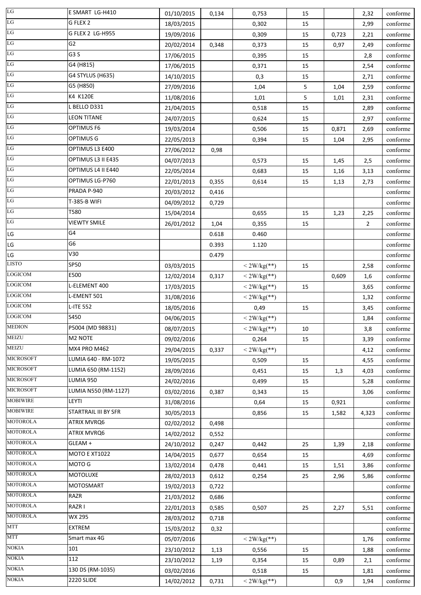| LG               | E SMART LG-H410      | 01/10/2015               | 0,134          | 0,753          | 15 |       | 2,32           | conforme |
|------------------|----------------------|--------------------------|----------------|----------------|----|-------|----------------|----------|
| $_{\rm LG}$      | G FLEX 2             | 18/03/2015               |                | 0,302          | 15 |       | 2,99           | conforme |
| $_{\rm LG}$      | G FLEX 2 LG-H955     | 19/09/2016               |                | 0,309          | 15 | 0,723 | 2,21           | conforme |
| LG               | G <sub>2</sub>       | 20/02/2014               | 0,348          | 0,373          | 15 | 0,97  | 2,49           | conforme |
| $_{\rm LG}$      | G <sub>3</sub> S     | 17/06/2015               |                | 0,395          | 15 |       | 2,8            | conforme |
| $_{\rm LG}$      | G4 (H815)            | 17/06/2015               |                | 0,371          | 15 |       | 2,54           | conforme |
| LG               | G4 STYLUS (H635)     | 14/10/2015               |                | 0,3            | 15 |       | 2,71           | conforme |
| LG               | G5 (H850)            | 27/09/2016               |                | 1,04           | 5  | 1,04  | 2,59           | conforme |
| $_{\rm LG}$      | K4 K120E             | 11/08/2016               |                | 1,01           | 5  | 1,01  | 2,31           | conforme |
| LG               | L BELLO D331         | 21/04/2015               |                | 0,518          | 15 |       | 2,89           | conforme |
| LG               | <b>LEON TITANE</b>   | 24/07/2015               |                | 0,624          | 15 |       | 2,97           | conforme |
| LG               | OPTIMUS F6           | 19/03/2014               |                | 0,506          | 15 | 0,871 | 2,69           | conforme |
| $_{\rm LG}$      | <b>OPTIMUS G</b>     | 22/05/2013               |                | 0,394          | 15 | 1,04  | 2,95           | conforme |
| LG               | OPTIMUS L3 E400      | 27/06/2012               | 0,98           |                |    |       |                | conforme |
| $_{\rm LG}$      | OPTIMUS L3 II E435   | 04/07/2013               |                | 0,573          | 15 | 1,45  | 2,5            | conforme |
| $_{\rm LG}$      | OPTIMUS L4 II E440   | 22/05/2014               |                | 0,683          | 15 | 1,16  | 3,13           | conforme |
| $_{\rm LG}$      | OPTIMUS LG-P760      | 22/01/2013               | 0,355          | 0,614          | 15 | 1,13  | 2,73           | conforme |
| LG               | PRADA P-940          | 20/03/2012               | 0,416          |                |    |       |                | conforme |
| $_{\rm LG}$      | T-385-B WIFI         | 04/09/2012               | 0,729          |                |    |       |                | conforme |
| LG               | T580                 | 15/04/2014               |                | 0,655          | 15 | 1,23  | 2,25           | conforme |
| LG               | <b>VIEWTY SMILE</b>  | 26/01/2012               | 1,04           | 0,355          | 15 |       | $\overline{2}$ | conforme |
| $\mathsf{LG}$    | G4                   |                          | 0.618          | 0.460          |    |       |                | conforme |
| LG               | G6                   |                          | 0.393          | 1.120          |    |       |                | conforme |
| LG               | V30                  |                          | 0.479          |                |    |       |                | conforme |
| <b>LISTO</b>     | <b>SP50</b>          | 03/03/2015               |                | $< 2W/kg$ (**) | 15 |       | 2,58           | conforme |
| <b>LOGICOM</b>   | E500                 | 12/02/2014               | 0,317          | $<$ 2W/kg(**)  |    | 0,609 | 1,6            | conforme |
| <b>LOGICOM</b>   | L-ELEMENT 400        | 17/03/2015               |                | $< 2W/kg$ (**) | 15 |       | 3,65           | conforme |
| <b>LOGICOM</b>   | L-EMENT 501          | 31/08/2016               |                | $<$ 2W/kg(**)  |    |       | 1,32           | conforme |
| <b>LOGICOM</b>   | L-ITE 552            | 18/05/2016               |                | 0,49           | 15 |       | 3,45           | conforme |
| LOGICOM          | S450                 | 04/06/2015               |                | $<$ 2W/kg(**)  |    |       | 1,84           | conforme |
| MEDION           | P5004 (MD 98831)     | 08/07/2015               |                | $<$ 2W/kg(**)  | 10 |       | 3,8            | conforme |
| <b>MEIZU</b>     | M2 NOTE              | 09/02/2016               |                | 0,264          | 15 |       | 3,39           | conforme |
| <b>MEIZU</b>     | <b>MX4 PRO M462</b>  | 29/04/2015               | 0,337          | $< 2W/kg$ (**) |    |       | 4,12           | conforme |
| <b>MICROSOFT</b> | LUMIA 640 - RM-1072  | 19/05/2015               |                | 0,509          | 15 |       | 4,55           | conforme |
| <b>MICROSOFT</b> | LUMIA 650 (RM-1152)  | 28/09/2016               |                | 0,451          | 15 | 1,3   | 4,03           | conforme |
| <b>MICROSOFT</b> | LUMIA 950            | 24/02/2016               |                | 0,499          | 15 |       | 5,28           | conforme |
| <b>MICROSOFT</b> | LUMIA N550 (RM-1127) | 03/02/2016               | 0,387          | 0,343          | 15 |       | 3,06           | conforme |
| <b>MOBIWIRE</b>  | LEYTI                | 31/08/2016               |                | 0,64           | 15 | 0,921 |                | conforme |
| <b>MOBIWIRE</b>  | STARTRAIL III BY SFR | 30/05/2013               |                | 0,856          | 15 | 1,582 | 4,323          | conforme |
| <b>MOTOROLA</b>  | <b>ATRIX MVRQ6</b>   |                          |                |                |    |       |                | conforme |
| <b>MOTOROLA</b>  | ATRIX MVRQ6          | 02/02/2012<br>14/02/2012 | 0,498<br>0,552 |                |    |       |                | conforme |
| <b>MOTOROLA</b>  | GLEAM +              |                          |                |                | 25 | 1,39  |                |          |
| <b>MOTOROLA</b>  | <b>MOTO E XT1022</b> | 24/10/2012               | 0,247          | 0,442          |    |       | 2,18           | conforme |
| <b>MOTOROLA</b>  | MOTO G               | 14/04/2015               | 0,677          | 0,654          | 15 |       | 4,69           | conforme |
| <b>MOTOROLA</b>  | MOTOLUXE             | 13/02/2014               | 0,478          | 0,441          | 15 | 1,51  | 3,86           | conforme |
| <b>MOTOROLA</b>  | <b>MOTOSMART</b>     | 28/02/2013               | 0,612          | 0,254          | 25 | 2,96  | 5,86           | conforme |
| <b>MOTOROLA</b>  | RAZR                 | 19/02/2013               | 0,722          |                |    |       |                | conforme |
| <b>MOTOROLA</b>  | RAZR I               | 21/03/2012               | 0,686          |                |    |       |                | conforme |
| <b>MOTOROLA</b>  | <b>WX 295</b>        | 22/01/2013               | 0,585          | 0,507          | 25 | 2,27  | 5,51           | conforme |
| <b>MTT</b>       | <b>EXTREM</b>        | 28/03/2012               | 0,718          |                |    |       |                | conforme |
| <b>MTT</b>       |                      | 15/03/2012               | 0,32           |                |    |       |                | conforme |
| <b>NOKIA</b>     | Smart max 4G         | 05/07/2016               |                | $< 2W/kg$ (**) |    |       | 1,76           | conforme |
| <b>NOKIA</b>     | 101<br>112           | 23/10/2012               | 1,13           | 0,556          | 15 |       | 1,88           | conforme |
| <b>NOKIA</b>     |                      | 23/10/2012               | 1,19           | 0,354          | 15 | 0,89  | 2,1            | conforme |
| <b>NOKIA</b>     | 130 DS (RM-1035)     | 03/02/2016               |                | 0,518          | 15 |       | 1,81           | conforme |
|                  | 2220 SLIDE           | 14/02/2012               | 0,731          | $< 2W/kg$ (**) |    | 0,9   | 1,94           | conforme |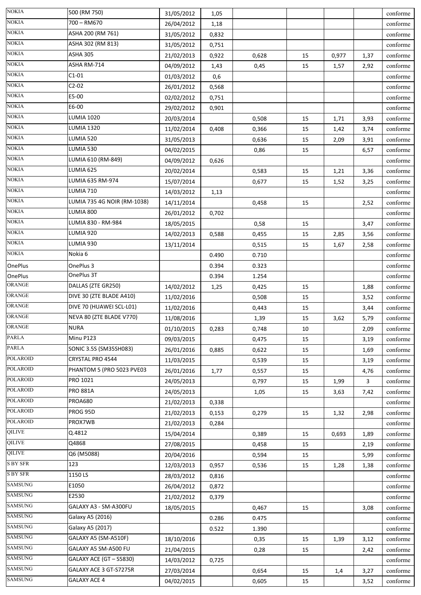| <b>NOKIA</b>              | 500 (RM 750)                | 31/05/2012 | 1,05  |       |    |       |      | conforme |
|---------------------------|-----------------------------|------------|-------|-------|----|-------|------|----------|
| <b>NOKIA</b>              | 700 - RM670                 | 26/04/2012 | 1,18  |       |    |       |      | conforme |
| <b>NOKIA</b>              | ASHA 200 (RM 761)           | 31/05/2012 | 0,832 |       |    |       |      | conforme |
| <b>NOKIA</b>              | ASHA 302 (RM 813)           | 31/05/2012 | 0,751 |       |    |       |      | conforme |
| $\overline{\text{NOKIA}}$ | <b>ASHA 305</b>             | 21/02/2013 | 0,922 | 0,628 | 15 | 0,977 | 1,37 | conforme |
| <b>NOKIA</b>              | ASHA RM-714                 | 04/09/2012 | 1,43  | 0,45  | 15 | 1,57  | 2,92 | conforme |
| <b>NOKIA</b>              | $C1-01$                     | 01/03/2012 | 0,6   |       |    |       |      | conforme |
| <b>NOKIA</b>              | $C2-02$                     | 26/01/2012 | 0,568 |       |    |       |      | conforme |
| <b>NOKIA</b>              | E5-00                       | 02/02/2012 | 0,751 |       |    |       |      | conforme |
| <b>NOKIA</b>              | E6-00                       | 29/02/2012 | 0,901 |       |    |       |      | conforme |
| <b>NOKIA</b>              | <b>LUMIA 1020</b>           | 20/03/2014 |       | 0,508 | 15 | 1,71  | 3,93 | conforme |
| <b>NOKIA</b>              | <b>LUMIA 1320</b>           | 11/02/2014 | 0,408 | 0,366 | 15 | 1,42  | 3,74 | conforme |
| <b>NOKIA</b>              | LUMIA 520                   | 31/05/2013 |       | 0,636 | 15 | 2,09  | 3,91 | conforme |
| <b>NOKIA</b>              | LUMIA 530                   | 04/02/2015 |       | 0,86  | 15 |       | 6,57 | conforme |
| <b>NOKIA</b>              | LUMIA 610 (RM-849)          | 04/09/2012 | 0,626 |       |    |       |      | conforme |
| <b>NOKIA</b>              | LUMIA 625                   | 20/02/2014 |       | 0,583 | 15 | 1,21  | 3,36 | conforme |
| <b>NOKIA</b>              | LUMIA 635 RM-974            | 15/07/2014 |       | 0,677 | 15 | 1,52  | 3,25 | conforme |
| <b>NOKIA</b>              | LUMIA 710                   | 14/03/2012 | 1,13  |       |    |       |      | conforme |
| <b>NOKIA</b>              | LUMIA 735 4G NOIR (RM-1038) | 14/11/2014 |       | 0,458 | 15 |       | 2,52 | conforme |
| <b>NOKIA</b>              | LUMIA 800                   | 26/01/2012 | 0,702 |       |    |       |      | conforme |
| <b>NOKIA</b>              | LUMIA 830 - RM-984          | 18/05/2015 |       | 0,58  | 15 |       | 3,47 | conforme |
| <b>NOKIA</b>              | LUMIA 920                   | 14/02/2013 | 0,588 | 0,455 | 15 | 2,85  | 3,56 | conforme |
| <b>NOKIA</b>              | LUMIA 930                   | 13/11/2014 |       | 0,515 | 15 | 1,67  | 2,58 | conforme |
| <b>NOKIA</b>              | Nokia 6                     |            | 0.490 | 0.710 |    |       |      | conforme |
| <b>OnePlus</b>            | OnePlus 3                   |            | 0.394 | 0.323 |    |       |      | conforme |
| <b>OnePlus</b>            | OnePlus 3T                  |            | 0.394 | 1.254 |    |       |      | conforme |
| ORANGE                    | DALLAS (ZTE GR250)          | 14/02/2012 | 1,25  | 0,425 | 15 |       | 1,88 | conforme |
| ORANGE                    | DIVE 30 (ZTE BLADE A410)    | 11/02/2016 |       | 0,508 | 15 |       | 3,52 | conforme |
| <b>ORANGE</b>             | DIVE 70 (HUAWEI SCL-L01)    | 11/02/2016 |       | 0,443 | 15 |       | 3,44 | conforme |
| ORANGE                    | NEVA 80 (ZTE BLADE V770)    | 11/08/2016 |       | 1,39  | 15 | 3,62  | 5,79 | conforme |
| ORANGE                    | <b>NURA</b>                 | 01/10/2015 | 0,283 | 0,748 | 10 |       | 2,09 | conforme |
| <b>PARLA</b>              | Minu P123                   | 09/03/2015 |       | 0,475 | 15 |       | 3,19 | conforme |
| <b>PARLA</b>              | SONIC 3.5S (SM35SH083)      | 26/01/2016 | 0,885 | 0,622 | 15 |       | 1,69 | conforme |
| <b>POLAROID</b>           | CRYSTAL PRO 4544            | 11/03/2015 |       | 0,539 | 15 |       | 3,19 | conforme |
| <b>POLAROID</b>           | PHANTOM 5 (PRO 5023 PVE03   | 26/01/2016 | 1,77  | 0,557 | 15 |       | 4,76 | conforme |
| <b>POLAROID</b>           | <b>PRO 1021</b>             | 24/05/2013 |       | 0,797 | 15 | 1,99  | 3    | conforme |
| <b>POLAROID</b>           | <b>PRO 881A</b>             | 24/05/2013 |       | 1,05  | 15 | 3,63  | 7,42 | conforme |
| <b>POLAROID</b>           | <b>PROA680</b>              | 21/02/2013 | 0,338 |       |    |       |      | conforme |
| <b>POLAROID</b>           | PROG 95D                    | 21/02/2013 | 0,153 | 0,279 | 15 | 1,32  | 2,98 | conforme |
| <b>POLAROID</b>           | PROX7WB                     | 21/02/2013 | 0,284 |       |    |       |      | conforme |
| <b>QILIVE</b>             | Q.4812                      | 15/04/2014 |       | 0,389 | 15 | 0,693 | 1,89 | conforme |
| <b>QILIVE</b>             | Q4868                       | 27/08/2015 |       | 0,458 | 15 |       | 2,19 | conforme |
| <b>QILIVE</b>             | Q6 (M5088)                  | 20/04/2016 |       | 0,594 | 15 |       | 5,99 | conforme |
| <b>S BY SFR</b>           | 123                         | 12/03/2013 | 0,957 | 0,536 | 15 | 1,28  | 1,38 | conforme |
| S BY SFR                  | 1150 LS                     | 28/03/2012 | 0,816 |       |    |       |      | conforme |
| <b>SAMSUNG</b>            | E1050                       | 26/04/2012 | 0,872 |       |    |       |      | conforme |
| <b>SAMSUNG</b>            | E2530                       | 21/02/2012 | 0,379 |       |    |       |      | conforme |
| <b>SAMSUNG</b>            | GALAXY A3 - SM-A300FU       | 18/05/2015 |       | 0,467 | 15 |       | 3,08 | conforme |
| <b>SAMSUNG</b>            | Galaxy A5 (2016)            |            | 0.286 | 0.475 |    |       |      | conforme |
| <b>SAMSUNG</b>            | Galaxy A5 (2017)            |            | 0.522 | 1.390 |    |       |      | conforme |
| <b>SAMSUNG</b>            | GALAXY A5 (SM-A510F)        | 18/10/2016 |       | 0,35  | 15 | 1,39  | 3,12 | conforme |
| <b>SAMSUNG</b>            | GALAXY A5 SM-A500 FU        | 21/04/2015 |       | 0,28  | 15 |       | 2,42 | conforme |
| <b>SAMSUNG</b>            | GALAXY ACE (GT - S5830)     | 14/03/2012 | 0,725 |       |    |       |      | conforme |
| <b>SAMSUNG</b>            | GALAXY ACE 3 GT-S7275R      | 27/03/2014 |       | 0,654 | 15 | 1,4   | 3,27 | conforme |
| <b>SAMSUNG</b>            | <b>GALAXY ACE 4</b>         | 04/02/2015 |       | 0,605 | 15 |       | 3,52 | conforme |
|                           |                             |            |       |       |    |       |      |          |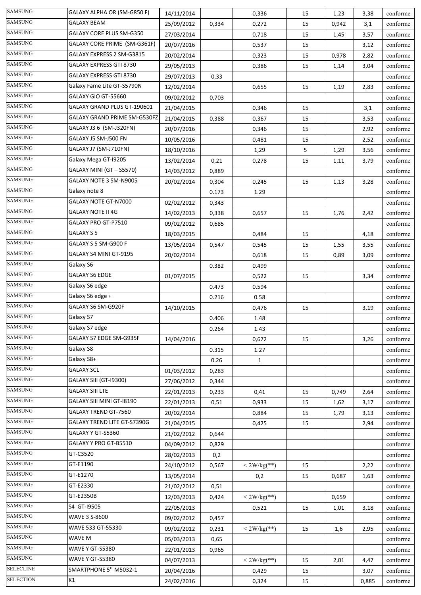| <b>SAMSUNG</b>   | GALAXY ALPHA OR (SM-G850 F)        | 14/11/2014               |                | 0,336          | 15 | 1,23  | 3,38  | conforme |
|------------------|------------------------------------|--------------------------|----------------|----------------|----|-------|-------|----------|
| <b>SAMSUNG</b>   | <b>GALAXY BEAM</b>                 | 25/09/2012               | 0,334          | 0,272          | 15 | 0,942 | 3,1   | conforme |
| <b>SAMSUNG</b>   | <b>GALAXY CORE PLUS SM-G350</b>    | 27/03/2014               |                | 0,718          | 15 | 1,45  | 3,57  | conforme |
| <b>SAMSUNG</b>   | GALAXY CORE PRIME (SM-G361F)       | 20/07/2016               |                | 0,537          | 15 |       | 3,12  | conforme |
| <b>SAMSUNG</b>   | GALAXY EXPRESS 2 SM-G3815          | 20/02/2014               |                | 0,323          | 15 | 0,978 | 2,82  | conforme |
| <b>SAMSUNG</b>   | GALAXY EXPRESS GTI 8730            | 29/05/2013               |                | 0,386          | 15 | 1,14  | 3,04  | conforme |
| <b>SAMSUNG</b>   | GALAXY EXPRESS GTI 8730            | 29/07/2013               | 0,33           |                |    |       |       | conforme |
| <b>SAMSUNG</b>   | Galaxy Fame Lite GT-S5790N         | 12/02/2014               |                | 0,655          | 15 | 1,19  | 2,83  | conforme |
| <b>SAMSUNG</b>   | GALAXY GIO GT-55660                | 09/02/2012               | 0,703          |                |    |       |       | conforme |
| <b>SAMSUNG</b>   | GALAXY GRAND PLUS GT-190601        | 21/04/2015               |                | 0,346          | 15 |       | 3,1   | conforme |
| <b>SAMSUNG</b>   | GALAXY GRAND PRIME SM-G530FZ       | 21/04/2015               | 0,388          | 0,367          | 15 |       | 3,53  | conforme |
| <b>SAMSUNG</b>   | GALAXY J3 6 (SM-J320FN)            | 20/07/2016               |                | 0,346          | 15 |       | 2,92  | conforme |
| <b>SAMSUNG</b>   | GALAXY J5 SM-J500 FN               | 10/05/2016               |                | 0,481          | 15 |       | 2,52  | conforme |
| <b>SAMSUNG</b>   | GALAXY J7 (SM-J710FN)              | 18/10/2016               |                | 1,29           | 5  | 1,29  | 3,56  | conforme |
| <b>SAMSUNG</b>   | Galaxy Mega GT-19205               | 13/02/2014               | 0,21           | 0,278          | 15 | 1,11  | 3,79  | conforme |
| <b>SAMSUNG</b>   | GALAXY MINI (GT - S5570)           | 14/03/2012               | 0,889          |                |    |       |       | conforme |
| <b>SAMSUNG</b>   | GALAXY NOTE 3 SM-N9005             | 20/02/2014               | 0,304          | 0,245          | 15 | 1,13  | 3,28  | conforme |
| <b>SAMSUNG</b>   | Galaxy note 8                      |                          | 0.173          | 1.29           |    |       |       | conforme |
| <b>SAMSUNG</b>   | <b>GALAXY NOTE GT-N7000</b>        | 02/02/2012               | 0,343          |                |    |       |       | conforme |
| <b>SAMSUNG</b>   | <b>GALAXY NOTE II 4G</b>           | 14/02/2013               | 0,338          | 0,657          | 15 | 1,76  | 2,42  | conforme |
| <b>SAMSUNG</b>   | GALAXY PRO GT-P7510                | 09/02/2012               | 0,685          |                |    |       |       | conforme |
| <b>SAMSUNG</b>   | GALAXY S 5                         | 18/03/2015               |                | 0,484          | 15 |       | 4,18  | conforme |
| <b>SAMSUNG</b>   | GALAXY S 5 SM-G900 F               | 13/05/2014               | 0,547          | 0,545          | 15 | 1,55  | 3,55  | conforme |
| <b>SAMSUNG</b>   | GALAXY S4 MINI GT-9195             | 20/02/2014               |                | 0,618          | 15 | 0,89  | 3,09  | conforme |
| <b>SAMSUNG</b>   | Galaxy S6                          |                          | 0.382          | 0.499          |    |       |       | conforme |
| <b>SAMSUNG</b>   | <b>GALAXY S6 EDGE</b>              | 01/07/2015               |                | 0,522          | 15 |       | 3,34  | conforme |
| <b>SAMSUNG</b>   | Galaxy S6 edge                     |                          | 0.473          | 0.594          |    |       |       | conforme |
| <b>SAMSUNG</b>   | Galaxy S6 edge +                   |                          | 0.216          | 0.58           |    |       |       | conforme |
| <b>SAMSUNG</b>   | GALAXY S6 SM-G920F                 | 14/10/2015               |                | 0,476          | 15 |       | 3,19  | conforme |
| <b>SAMSUNG</b>   | Galaxy S7                          |                          | 0.406          | 1.48           |    |       |       | conforme |
| SAMSUNG          | Galaxy S7 edge                     |                          | 0.264          | 1.43           |    |       |       | conforme |
| <b>SAMSUNG</b>   | GALAXY S7 EDGE SM-G935F            | 14/04/2016               |                | 0,672          | 15 |       | 3,26  | conforme |
| <b>SAMSUNG</b>   | Galaxy S8                          |                          | 0.315          | 1.27           |    |       |       | conforme |
| <b>SAMSUNG</b>   | Galaxy S8+                         |                          | 0.26           | $\mathbf{1}$   |    |       |       | conforme |
| <b>SAMSUNG</b>   | <b>GALAXY SCL</b>                  | 01/03/2012               | 0,283          |                |    |       |       | conforme |
| <b>SAMSUNG</b>   | GALAXY SIII (GT-I9300)             | 27/06/2012               | 0,344          |                |    |       |       | conforme |
| <b>SAMSUNG</b>   | <b>GALAXY SIII LTE</b>             | 22/01/2013               | 0,233          | 0,41           | 15 | 0,749 | 2,64  | conforme |
| <b>SAMSUNG</b>   | GALAXY SIII MINI GT-18190          | 22/01/2013               | 0,51           | 0,933          | 15 | 1,62  |       | conforme |
| <b>SAMSUNG</b>   | <b>GALAXY TREND GT-7560</b>        | 20/02/2014               |                | 0,884          | 15 | 1,79  | 3,17  | conforme |
| <b>SAMSUNG</b>   | <b>GALAXY TREND LITE GT-S7390G</b> |                          |                |                |    |       | 3,13  | conforme |
| <b>SAMSUNG</b>   | GALAXY Y GT-S5360                  | 21/04/2015               |                | 0,425          | 15 |       | 2,94  | conforme |
| <b>SAMSUNG</b>   | GALAXY Y PRO GT-B5510              | 21/02/2012<br>04/09/2012 | 0,644<br>0,829 |                |    |       |       | conforme |
| <b>SAMSUNG</b>   | GT-C3520                           |                          |                |                |    |       |       |          |
| <b>SAMSUNG</b>   | GT-E1190                           | 28/02/2013               | 0,2            |                |    |       |       | conforme |
| <b>SAMSUNG</b>   | GT-E1270                           | 24/10/2012               | 0,567          | $<$ 2W/kg(**)  | 15 |       | 2,22  | conforme |
| <b>SAMSUNG</b>   | GT-E2330                           | 13/05/2014               |                | 0,2            | 15 | 0,687 | 1,63  | conforme |
| <b>SAMSUNG</b>   |                                    | 21/02/2012               | 0,51           |                |    |       |       | conforme |
| <b>SAMSUNG</b>   | GT-E2350B<br>S4 GT-19505           | 12/03/2013               | 0,424          | $< 2W/kg$ (**) |    | 0,659 |       | conforme |
| <b>SAMSUNG</b>   |                                    | 22/05/2013               |                | 0,521          | 15 | 1,01  | 3,18  | conforme |
| <b>SAMSUNG</b>   | <b>WAVE 3 S-8600</b>               | 09/02/2012               | 0,457          |                |    |       |       | conforme |
| <b>SAMSUNG</b>   | WAVE 533 GT-55330                  | 09/02/2012               | 0,231          | $<$ 2W/kg(**)  | 15 | 1,6   | 2,95  | conforme |
| <b>SAMSUNG</b>   | WAVE M                             | 05/03/2013               | 0,65           |                |    |       |       | conforme |
| <b>SAMSUNG</b>   | <b>WAVE Y GT-S5380</b>             | 22/01/2013               | 0,965          |                |    |       |       | conforme |
| <b>SELECLINE</b> | WAVE Y GT-S5380                    | 04/07/2013               |                | $< 2W/kg$ (**) | 15 | 2,01  | 4,47  | conforme |
| <b>SELECTION</b> | SMARTPHONE 5" M5032-1              | 20/04/2016               |                | 0,429          | 15 |       | 3,07  | conforme |
|                  | K1                                 | 24/02/2016               |                | 0,324          | 15 |       | 0,885 | conforme |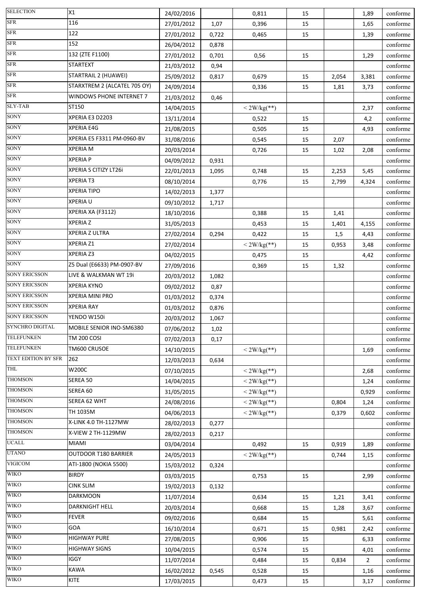| <b>SELECTION</b>           | X1                           | 24/02/2016               |       | 0,811                  | 15 |                | 1,89           | conforme             |
|----------------------------|------------------------------|--------------------------|-------|------------------------|----|----------------|----------------|----------------------|
| <b>SFR</b>                 | 116                          | 27/01/2012               | 1,07  | 0,396                  | 15 |                | 1,65           | conforme             |
| ${\rm SFR}$                | 122                          | 27/01/2012               | 0,722 | 0,465                  | 15 |                | 1,39           | conforme             |
| ${\rm SFR}$                | 152                          | 26/04/2012               | 0,878 |                        |    |                |                | conforme             |
| ${\rm SFR}$                | 132 (ZTE F1100)              | 27/01/2012               | 0,701 | 0,56                   | 15 |                | 1,29           | conforme             |
| <b>SFR</b>                 | <b>STARTEXT</b>              | 21/03/2012               | 0,94  |                        |    |                |                | conforme             |
| <b>SFR</b>                 | STARTRAIL 2 (HUAWEI)         | 25/09/2012               | 0,817 | 0,679                  | 15 | 2,054          | 3,381          | conforme             |
| <b>SFR</b>                 | STARXTREM 2 (ALCATEL 705 OY) | 24/09/2014               |       | 0,336                  | 15 | 1,81           | 3,73           | conforme             |
| <b>SFR</b>                 | WINDOWS PHONE INTERNET 7     | 21/03/2012               | 0,46  |                        |    |                |                | conforme             |
| <b>SLY-TAB</b>             | ST150                        | 14/04/2015               |       | $<$ 2W/kg(**)          |    |                | 2,37           | conforme             |
| SONY                       | XPERIA E3 D2203              | 13/11/2014               |       | 0,522                  | 15 |                | 4,2            | conforme             |
| <b>SONY</b>                | XPERIA E4G                   | 21/08/2015               |       | 0,505                  | 15 |                | 4,93           | conforme             |
| SONY                       | XPERIA E5 F3311 PM-0960-BV   | 31/08/2016               |       | 0,545                  | 15 | 2,07           |                | conforme             |
| SONY                       | <b>XPERIA M</b>              | 20/03/2014               |       | 0,726                  | 15 | 1,02           | 2,08           | conforme             |
| <b>SONY</b>                | <b>XPERIA P</b>              | 04/09/2012               | 0,931 |                        |    |                |                | conforme             |
| SONY                       | XPERIA S CITIZY LT26i        | 22/01/2013               | 1,095 | 0,748                  | 15 | 2,253          | 5,45           | conforme             |
| SONY                       | <b>XPERIAT3</b>              | 08/10/2014               |       | 0,776                  | 15 | 2,799          | 4,324          | conforme             |
| SONY                       | <b>XPERIA TIPO</b>           | 14/02/2013               | 1,377 |                        |    |                |                | conforme             |
| SONY                       | <b>XPERIA U</b>              | 09/10/2012               | 1,717 |                        |    |                |                | conforme             |
| SONY                       | XPERIA XA (F3112)            | 18/10/2016               |       | 0,388                  | 15 | 1,41           |                | conforme             |
| SONY                       | <b>XPERIAZ</b>               | 31/05/2013               |       | 0,453                  | 15 | 1,401          | 4,155          | conforme             |
| SONY                       | XPERIA Z ULTRA               | 27/02/2014               | 0,294 | 0,422                  | 15 | 1,5            | 4,43           | conforme             |
| SONY                       | XPERIA Z1                    | 27/02/2014               |       | $<$ 2W/kg(**)          | 15 | 0,953          | 3,48           | conforme             |
| SONY                       | XPERIA Z3                    | 04/02/2015               |       | 0,475                  | 15 |                | 4,42           | conforme             |
| <b>SONY</b>                | Z5 Dual (E6633) PM-0907-BV   | 27/09/2016               |       | 0,369                  | 15 | 1,32           |                | conforme             |
| <b>SONY ERICSSON</b>       | LIVE & WALKMAN WT 19i        | 20/03/2012               | 1,082 |                        |    |                |                | conforme             |
| <b>SONY ERICSSON</b>       | <b>XPERIA KYNO</b>           | 09/02/2012               | 0,87  |                        |    |                |                | conforme             |
| <b>SONY ERICSSON</b>       | XPERIA MINI PRO              | 01/03/2012               | 0,374 |                        |    |                |                | conforme             |
| <b>SONY ERICSSON</b>       | <b>XPERIA RAY</b>            | 01/03/2012               | 0,876 |                        |    |                |                | conforme             |
| <b>SONY ERICSSON</b>       | YENDO W150i                  | 20/03/2012               | 1,067 |                        |    |                |                | conforme             |
| SYNCHRO DIGITAL            | MOBILE SENIOR INO-SM6380     | 07/06/2012               | 1,02  |                        |    |                |                | conforme             |
| <b>TELEFUNKEN</b>          | <b>TM 200 COSI</b>           | 07/02/2013               | 0,17  |                        |    |                |                | conforme             |
| <b>TELEFUNKEN</b>          | TM600 CRUSOE                 | 14/10/2015               |       | $<$ 2W/kg(**)          |    |                | 1,69           | conforme             |
| <b>TEXT EDITION BY SFR</b> | 262                          | 12/03/2013               | 0,634 |                        |    |                |                | conforme             |
| THL                        | W200C                        | 07/10/2015               |       | $< 2W/kg$ (**)         |    |                | 2,68           | conforme             |
| <b>THOMSON</b>             | SEREA 50                     | 14/04/2015               |       | $<$ 2W/kg(**)          |    |                | 1,24           | conforme             |
| <b>THOMSON</b>             | SEREA 60                     | 31/05/2015               |       | $< 2W/kg$ (**)         |    |                | 0,929          | conforme             |
| <b>THOMSON</b>             | SEREA 62 WHT                 | 24/08/2016               |       | $< 2W/kg$ (**)         |    | 0,804          | 1,24           | conforme             |
| <b>THOMSON</b>             | TH 1035M                     | 04/06/2013               |       | $<$ 2W/kg(**)          |    | 0,379          | 0,602          | conforme             |
| <b>THOMSON</b>             | X-LINK 4.0 TH-1127MW         | 28/02/2013               | 0,277 |                        |    |                |                | conforme             |
| <b>THOMSON</b>             | X-VIEW 2 TH-1129MW           | 28/02/2013               | 0,217 |                        |    |                |                | conforme             |
| <b>UCALL</b>               | MIAMI                        |                          |       |                        |    |                |                |                      |
| <b>UTANO</b>               | OUTDOOR T180 BARRIER         | 03/04/2014<br>24/05/2013 |       | 0,492<br>$<$ 2W/kg(**) | 15 | 0,919<br>0,744 | 1,89           | conforme<br>conforme |
| <b>VIGICOM</b>             | ATI-1800 (NOKIA 5500)        | 15/03/2012               | 0,324 |                        |    |                | 1,15           | conforme             |
| <b>WIKO</b>                | <b>BIRDY</b>                 |                          |       |                        |    |                |                | conforme             |
| <b>WIKO</b>                | <b>CINK SLIM</b>             | 03/03/2015               |       | 0,753                  | 15 |                | 2,99           |                      |
| <b>WIKO</b>                | <b>DARKMOON</b>              | 19/02/2013               | 0,132 |                        |    |                |                | conforme             |
| <b>WIKO</b>                | DARKNIGHT HELL               | 11/07/2014               |       | 0,634                  | 15 | 1,21           | 3,41           | conforme             |
| <b>WIKO</b>                | <b>FEVER</b>                 | 20/03/2014               |       | 0,668                  | 15 | 1,28           | 3,67           | conforme             |
| <b>WIKO</b>                | GOA                          | 09/02/2016               |       | 0,684                  | 15 |                | 5,61           | conforme             |
| <b>WIKO</b>                | <b>HIGHWAY PURE</b>          | 16/10/2014               |       | 0,671                  | 15 | 0,981          | 2,42           | conforme             |
| <b>WIKO</b>                | <b>HIGHWAY SIGNS</b>         | 27/08/2015               |       | 0,906                  | 15 |                | 6,33           | conforme             |
| <b>WIKO</b>                | <b>IGGY</b>                  | 10/04/2015               |       | 0,574                  | 15 |                | 4,01           | conforme             |
| <b>WIKO</b>                |                              | 11/07/2014               |       | 0,484                  | 15 | 0,834          | $\overline{2}$ | conforme             |
| <b>WIKO</b>                | KAWA                         | 16/02/2012               | 0,545 | 0,528                  | 15 |                | 1,16           | conforme             |
|                            | KITE                         | 17/03/2015               |       | 0,473                  | 15 |                | 3,17           | conforme             |